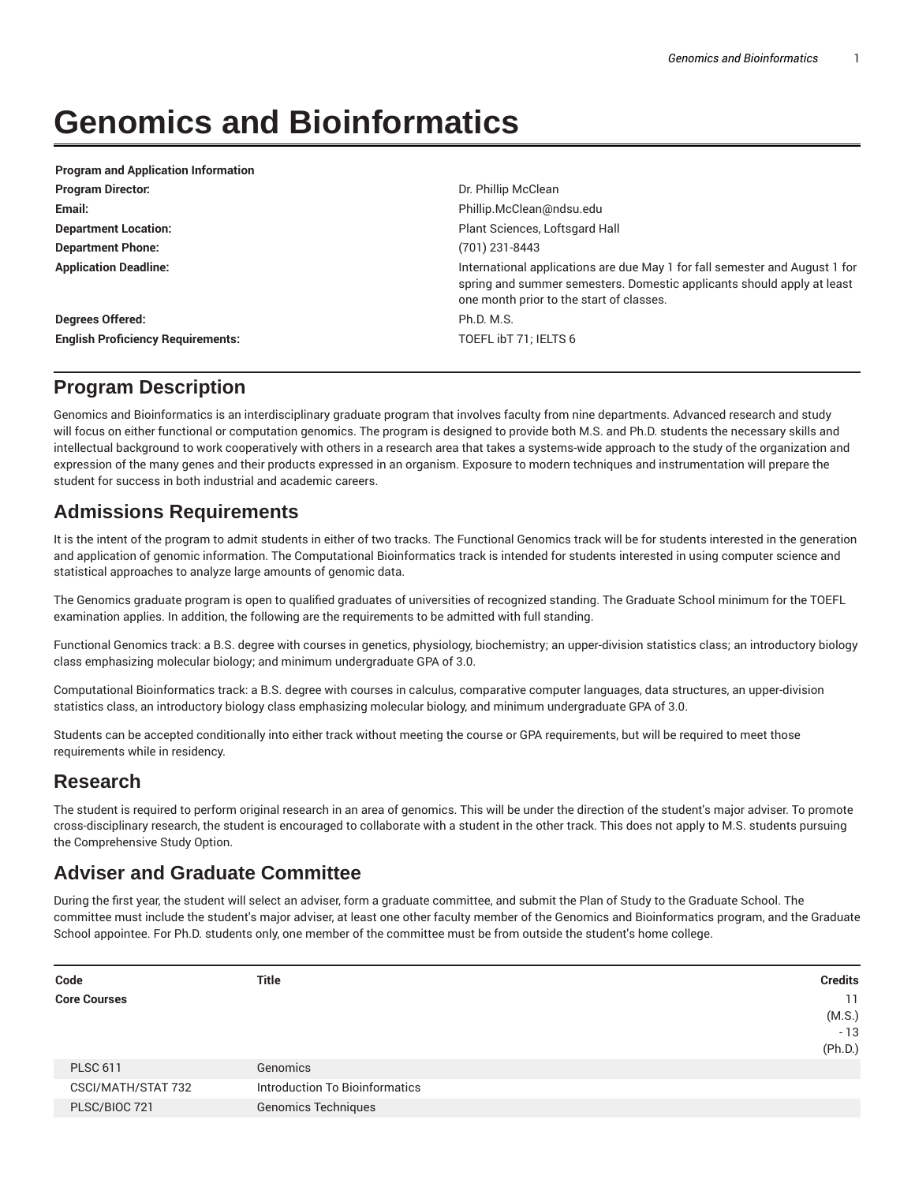# **Genomics and Bioinformatics**

| <b>Program and Application Information</b> |                                                                                                                                                                                                   |
|--------------------------------------------|---------------------------------------------------------------------------------------------------------------------------------------------------------------------------------------------------|
| <b>Program Director:</b>                   | Dr. Phillip McClean                                                                                                                                                                               |
| Email:                                     | Phillip.McClean@ndsu.edu                                                                                                                                                                          |
| <b>Department Location:</b>                | Plant Sciences, Loftsgard Hall                                                                                                                                                                    |
| <b>Department Phone:</b>                   | (701) 231-8443                                                                                                                                                                                    |
| <b>Application Deadline:</b>               | International applications are due May 1 for fall semester and August 1 for<br>spring and summer semesters. Domestic applicants should apply at least<br>one month prior to the start of classes. |
| Degrees Offered:                           | Ph.D. M.S.                                                                                                                                                                                        |
| <b>English Proficiency Requirements:</b>   | TOEFL ibT 71; IELTS 6                                                                                                                                                                             |

# **Program Description**

Genomics and Bioinformatics is an interdisciplinary graduate program that involves faculty from nine departments. Advanced research and study will focus on either functional or computation genomics. The program is designed to provide both M.S. and Ph.D. students the necessary skills and intellectual background to work cooperatively with others in a research area that takes a systems-wide approach to the study of the organization and expression of the many genes and their products expressed in an organism. Exposure to modern techniques and instrumentation will prepare the student for success in both industrial and academic careers.

# **Admissions Requirements**

It is the intent of the program to admit students in either of two tracks. The Functional Genomics track will be for students interested in the generation and application of genomic information. The Computational Bioinformatics track is intended for students interested in using computer science and statistical approaches to analyze large amounts of genomic data.

The Genomics graduate program is open to qualified graduates of universities of recognized standing. The Graduate School minimum for the TOEFL examination applies. In addition, the following are the requirements to be admitted with full standing.

Functional Genomics track: a B.S. degree with courses in genetics, physiology, biochemistry; an upper-division statistics class; an introductory biology class emphasizing molecular biology; and minimum undergraduate GPA of 3.0.

Computational Bioinformatics track: a B.S. degree with courses in calculus, comparative computer languages, data structures, an upper-division statistics class, an introductory biology class emphasizing molecular biology, and minimum undergraduate GPA of 3.0.

Students can be accepted conditionally into either track without meeting the course or GPA requirements, but will be required to meet those requirements while in residency.

# **Research**

The student is required to perform original research in an area of genomics. This will be under the direction of the student's major adviser. To promote cross-disciplinary research, the student is encouraged to collaborate with a student in the other track. This does not apply to M.S. students pursuing the Comprehensive Study Option.

# **Adviser and Graduate Committee**

During the first year, the student will select an adviser, form a graduate committee, and submit the Plan of Study to the Graduate School. The committee must include the student's major adviser, at least one other faculty member of the Genomics and Bioinformatics program, and the Graduate School appointee. For Ph.D. students only, one member of the committee must be from outside the student's home college.

| <b>Title</b>                   | <b>Credits</b> |
|--------------------------------|----------------|
|                                | 11             |
|                                | (M.S.)         |
|                                | $-13$          |
|                                | (Ph.D.)        |
| Genomics                       |                |
| Introduction To Bioinformatics |                |
| <b>Genomics Techniques</b>     |                |
|                                |                |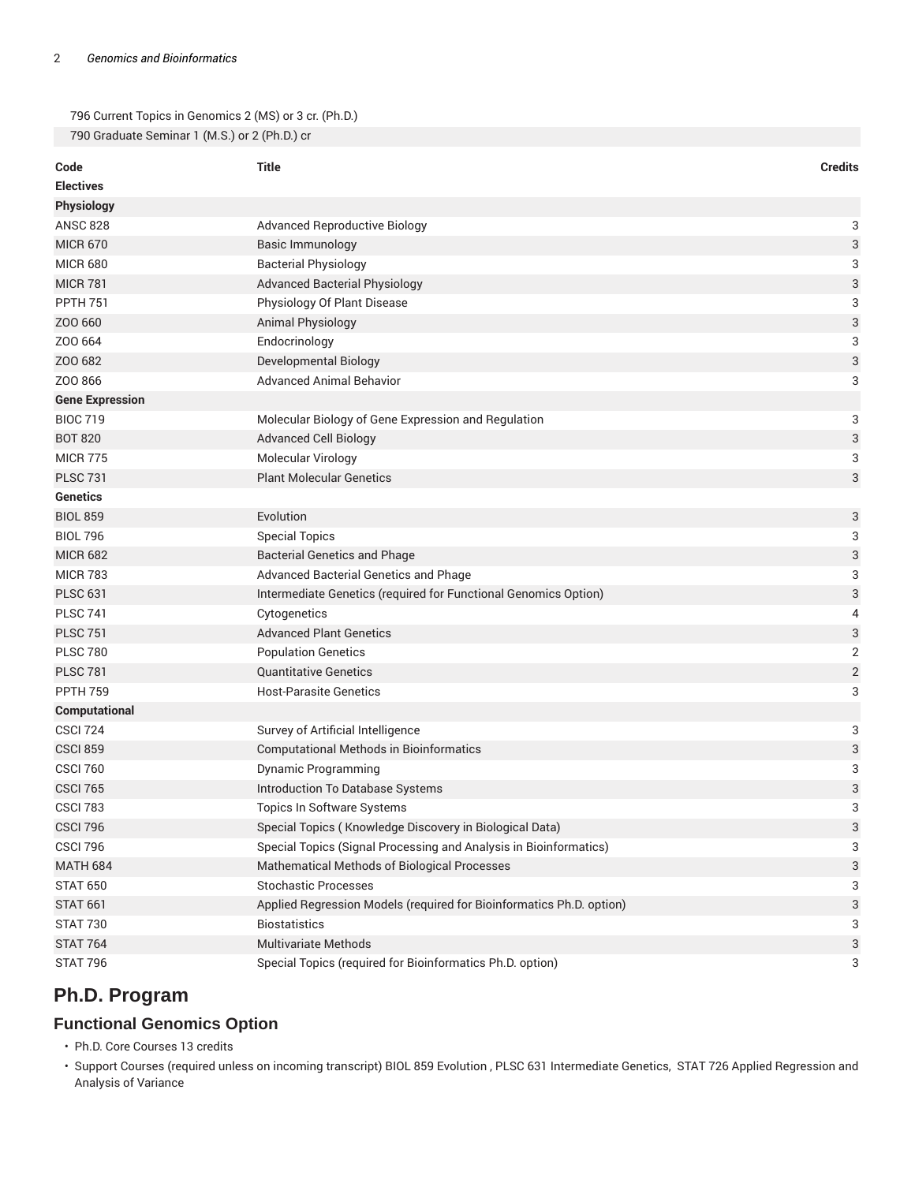796 Current Topics in Genomics 2 (MS) or 3 cr. (Ph.D.) 790 Graduate Seminar 1 (M.S.) or 2 (Ph.D.) cr

| Code                   | Title                                                                | <b>Credits</b>            |
|------------------------|----------------------------------------------------------------------|---------------------------|
| <b>Electives</b>       |                                                                      |                           |
| Physiology             |                                                                      |                           |
| <b>ANSC 828</b>        | <b>Advanced Reproductive Biology</b>                                 | 3                         |
| <b>MICR 670</b>        | Basic Immunology                                                     | $\ensuremath{\mathsf{3}}$ |
| <b>MICR 680</b>        | <b>Bacterial Physiology</b>                                          | 3                         |
| <b>MICR 781</b>        | <b>Advanced Bacterial Physiology</b>                                 | $\ensuremath{\mathsf{3}}$ |
| <b>PPTH 751</b>        | Physiology Of Plant Disease                                          | 3                         |
| Z00 660                | Animal Physiology                                                    | 3                         |
| ZOO 664                | Endocrinology                                                        | 3                         |
| ZOO 682                | Developmental Biology                                                | 3                         |
| Z00866                 | <b>Advanced Animal Behavior</b>                                      | 3                         |
| <b>Gene Expression</b> |                                                                      |                           |
| <b>BIOC 719</b>        | Molecular Biology of Gene Expression and Regulation                  | 3                         |
| <b>BOT 820</b>         | <b>Advanced Cell Biology</b>                                         | 3                         |
| <b>MICR 775</b>        | Molecular Virology                                                   | 3                         |
| <b>PLSC 731</b>        | <b>Plant Molecular Genetics</b>                                      | 3                         |
| <b>Genetics</b>        |                                                                      |                           |
| <b>BIOL 859</b>        | Evolution                                                            | 3                         |
| <b>BIOL 796</b>        | <b>Special Topics</b>                                                | 3                         |
| <b>MICR 682</b>        | <b>Bacterial Genetics and Phage</b>                                  | 3                         |
| <b>MICR 783</b>        | Advanced Bacterial Genetics and Phage                                | 3                         |
| <b>PLSC 631</b>        | Intermediate Genetics (required for Functional Genomics Option)      | 3                         |
| <b>PLSC 741</b>        | Cytogenetics                                                         | 4                         |
| <b>PLSC 751</b>        | <b>Advanced Plant Genetics</b>                                       | 3                         |
| <b>PLSC 780</b>        | <b>Population Genetics</b>                                           | $\overline{\mathbf{c}}$   |
| <b>PLSC 781</b>        | <b>Quantitative Genetics</b>                                         | $\sqrt{2}$                |
| <b>PPTH 759</b>        | <b>Host-Parasite Genetics</b>                                        | 3                         |
| Computational          |                                                                      |                           |
| <b>CSCI 724</b>        | Survey of Artificial Intelligence                                    | 3                         |
| <b>CSCI 859</b>        | <b>Computational Methods in Bioinformatics</b>                       | 3                         |
| <b>CSCI 760</b>        | <b>Dynamic Programming</b>                                           | 3                         |
| <b>CSCI 765</b>        | Introduction To Database Systems                                     | 3                         |
| <b>CSCI 783</b>        | <b>Topics In Software Systems</b>                                    | 3                         |
| <b>CSCI 796</b>        | Special Topics (Knowledge Discovery in Biological Data)              | 3                         |
| <b>CSCI 796</b>        | Special Topics (Signal Processing and Analysis in Bioinformatics)    | 3                         |
| <b>MATH 684</b>        | Mathematical Methods of Biological Processes                         | 3                         |
| <b>STAT 650</b>        | <b>Stochastic Processes</b>                                          | 3                         |
| <b>STAT 661</b>        | Applied Regression Models (required for Bioinformatics Ph.D. option) | 3                         |
| <b>STAT 730</b>        | <b>Biostatistics</b>                                                 | 3                         |
| <b>STAT 764</b>        | <b>Multivariate Methods</b>                                          | 3                         |
| <b>STAT 796</b>        | Special Topics (required for Bioinformatics Ph.D. option)            | 3                         |

# **Ph.D. Program**

# **Functional Genomics Option**

• Ph.D. Core Courses 13 credits

• Support Courses (required unless on incoming transcript) BIOL 859 Evolution , PLSC 631 Intermediate Genetics, STAT 726 Applied Regression and Analysis of Variance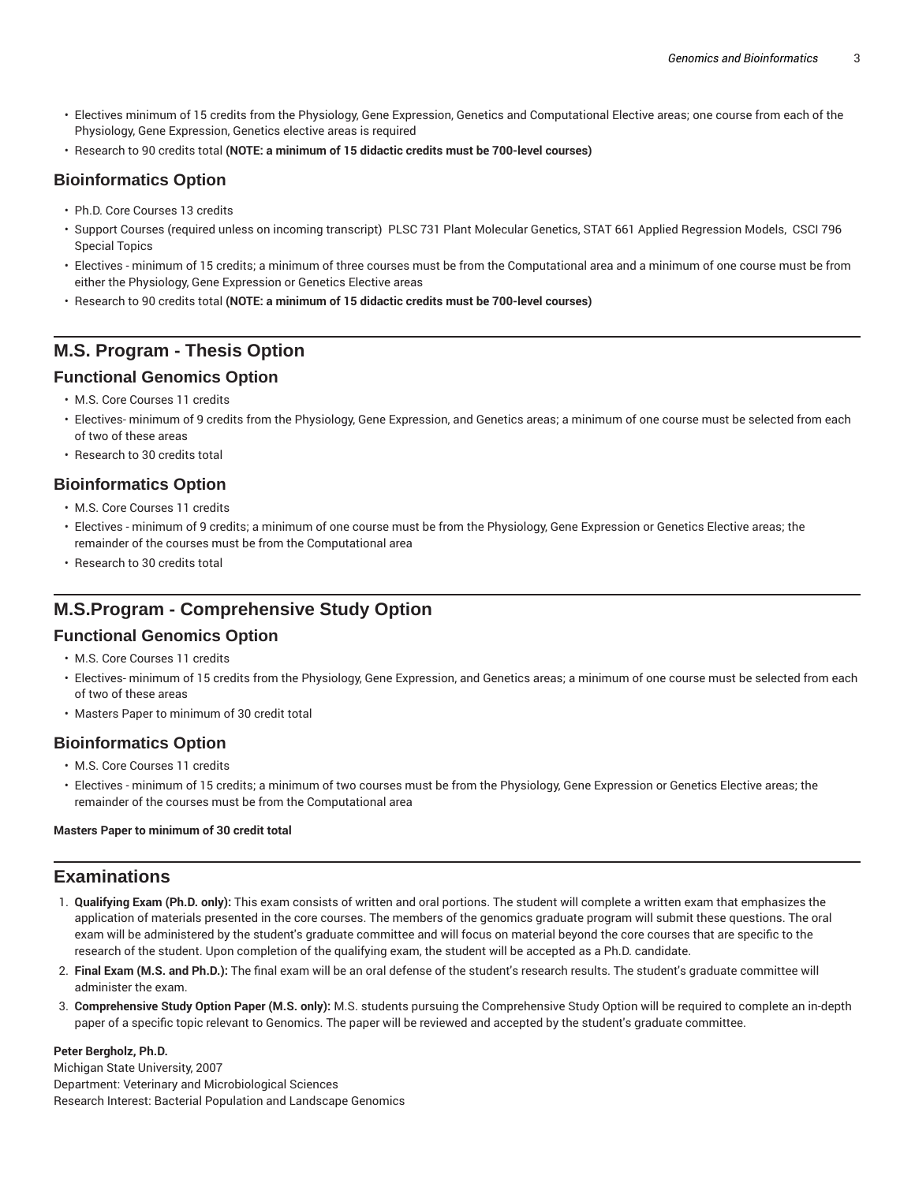- Electives minimum of 15 credits from the Physiology, Gene Expression, Genetics and Computational Elective areas; one course from each of the Physiology, Gene Expression, Genetics elective areas is required
- Research to 90 credits total **(NOTE: a minimum of 15 didactic credits must be 700-level courses)**

### **Bioinformatics Option**

- Ph.D. Core Courses 13 credits
- Support Courses (required unless on incoming transcript) PLSC 731 Plant Molecular Genetics, STAT 661 Applied Regression Models, CSCI 796 Special Topics
- Electives minimum of 15 credits; a minimum of three courses must be from the Computational area and a minimum of one course must be from either the Physiology, Gene Expression or Genetics Elective areas
- Research to 90 credits total **(NOTE: a minimum of 15 didactic credits must be 700-level courses)**

# **M.S. Program - Thesis Option**

### **Functional Genomics Option**

- M.S. Core Courses 11 credits
- Electives- minimum of 9 credits from the Physiology, Gene Expression, and Genetics areas; a minimum of one course must be selected from each of two of these areas
- Research to 30 credits total

## **Bioinformatics Option**

- M.S. Core Courses 11 credits
- Electives minimum of 9 credits; a minimum of one course must be from the Physiology, Gene Expression or Genetics Elective areas; the remainder of the courses must be from the Computational area
- Research to 30 credits total

# **M.S.Program - Comprehensive Study Option**

### **Functional Genomics Option**

- M.S. Core Courses 11 credits
- Electives- minimum of 15 credits from the Physiology, Gene Expression, and Genetics areas; a minimum of one course must be selected from each of two of these areas
- Masters Paper to minimum of 30 credit total

### **Bioinformatics Option**

- M.S. Core Courses 11 credits
- Electives minimum of 15 credits; a minimum of two courses must be from the Physiology, Gene Expression or Genetics Elective areas; the remainder of the courses must be from the Computational area

#### **Masters Paper to minimum of 30 credit total**

## **Examinations**

- 1. **Qualifying Exam (Ph.D. only):** This exam consists of written and oral portions. The student will complete a written exam that emphasizes the application of materials presented in the core courses. The members of the genomics graduate program will submit these questions. The oral exam will be administered by the student's graduate committee and will focus on material beyond the core courses that are specific to the research of the student. Upon completion of the qualifying exam, the student will be accepted as a Ph.D. candidate.
- 2. **Final Exam (M.S. and Ph.D.):** The final exam will be an oral defense of the student's research results. The student's graduate committee will administer the exam.
- 3. **Comprehensive Study Option Paper (M.S. only):** M.S. students pursuing the Comprehensive Study Option will be required to complete an in-depth paper of a specific topic relevant to Genomics. The paper will be reviewed and accepted by the student's graduate committee.

#### **Peter Bergholz, Ph.D.**

Michigan State University, 2007 Department: Veterinary and Microbiological Sciences Research Interest: Bacterial Population and Landscape Genomics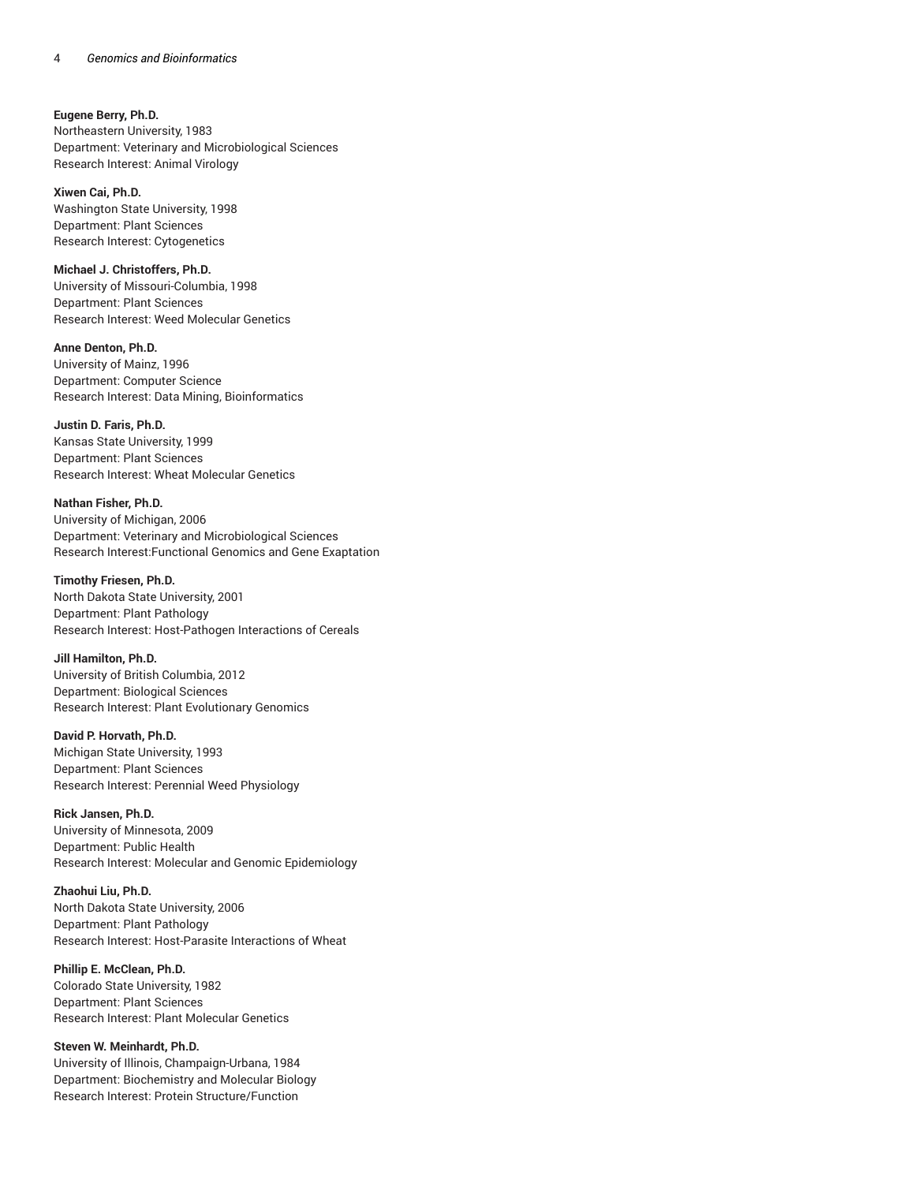#### **Eugene Berry, Ph.D.**

Northeastern University, 1983 Department: Veterinary and Microbiological Sciences Research Interest: Animal Virology

**Xiwen Cai, Ph.D.** Washington State University, 1998 Department: Plant Sciences Research Interest: Cytogenetics

#### **Michael J. Christoffers, Ph.D.**

University of Missouri-Columbia, 1998 Department: Plant Sciences Research Interest: Weed Molecular Genetics

**Anne Denton, Ph.D.**

University of Mainz, 1996 Department: Computer Science Research Interest: Data Mining, Bioinformatics

#### **Justin D. Faris, Ph.D.**

Kansas State University, 1999 Department: Plant Sciences Research Interest: Wheat Molecular Genetics

#### **Nathan Fisher, Ph.D.**

University of Michigan, 2006 Department: Veterinary and Microbiological Sciences Research Interest:Functional Genomics and Gene Exaptation

#### **Timothy Friesen, Ph.D.**

North Dakota State University, 2001 Department: Plant Pathology Research Interest: Host-Pathogen Interactions of Cereals

#### **Jill Hamilton, Ph.D.**

University of British Columbia, 2012 Department: Biological Sciences Research Interest: Plant Evolutionary Genomics

#### **David P. Horvath, Ph.D.**

Michigan State University, 1993 Department: Plant Sciences Research Interest: Perennial Weed Physiology

#### **Rick Jansen, Ph.D.**

University of Minnesota, 2009 Department: Public Health Research Interest: Molecular and Genomic Epidemiology

#### **Zhaohui Liu, Ph.D.**

North Dakota State University, 2006 Department: Plant Pathology Research Interest: Host-Parasite Interactions of Wheat

#### **Phillip E. McClean, Ph.D.**

Colorado State University, 1982 Department: Plant Sciences Research Interest: Plant Molecular Genetics

#### **Steven W. Meinhardt, Ph.D.**

University of Illinois, Champaign-Urbana, 1984 Department: Biochemistry and Molecular Biology Research Interest: Protein Structure/Function